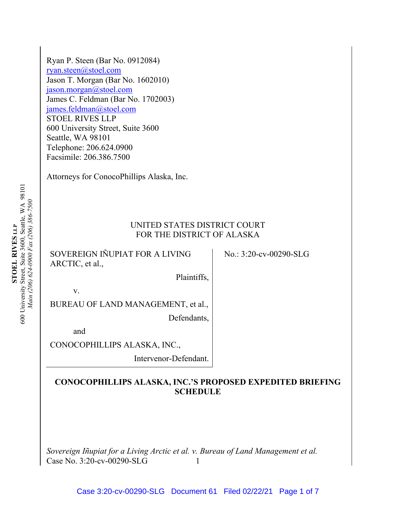Ryan P. Steen (Bar No. 0912084) ryan.steen@stoel.com Jason T. Morgan (Bar No. 1602010) jason.morgan@stoel.com James C. Feldman (Bar No. 1702003) james.feldman@stoel.com STOEL RIVES LLP 600 University Street, Suite 3600 Seattle, WA 98101 Telephone: 206.624.0900 Facsimile: 206.386.7500

Attorneys for ConocoPhillips Alaska, Inc.

## UNITED STATES DISTRICT COURT FOR THE DISTRICT OF ALASKA

SOVEREIGN IÑUPIAT FOR A LIVING ARCTIC, et al.,

No.: 3:20-cv-00290-SLG

v.

BUREAU OF LAND MANAGEMENT, et al.,

Defendants,

Plaintiffs,

and

CONOCOPHILLIPS ALASKA, INC.,

Intervenor-Defendant.

## **CONOCOPHILLIPS ALASKA, INC.'S PROPOSED EXPEDITED BRIEFING SCHEDULE**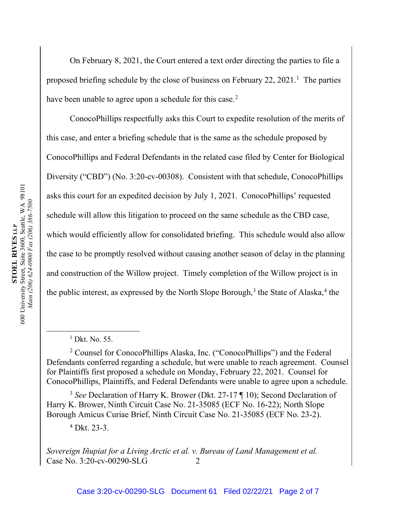On February 8, 2021, the Court entered a text order directing the parties to file a proposed briefing schedule by the close of business on February 22, 2021.<sup>1</sup> The parties have been unable to agree upon a schedule for this case.<sup>2</sup>

ConocoPhillips respectfully asks this Court to expedite resolution of the merits of this case, and enter a briefing schedule that is the same as the schedule proposed by ConocoPhillips and Federal Defendants in the related case filed by Center for Biological Diversity ("CBD") (No. 3:20-cv-00308). Consistent with that schedule, ConocoPhillips asks this court for an expedited decision by July 1, 2021. ConocoPhillips' requested schedule will allow this litigation to proceed on the same schedule as the CBD case, which would efficiently allow for consolidated briefing. This schedule would also allow the case to be promptly resolved without causing another season of delay in the planning and construction of the Willow project. Timely completion of the Willow project is in the public interest, as expressed by the North Slope Borough,<sup>3</sup> the State of Alaska,<sup>4</sup> the

<sup>3</sup> *See* Declaration of Harry K. Brower (Dkt. 27-17 ¶ 10); Second Declaration of Harry K. Brower, Ninth Circuit Case No. 21-35085 (ECF No. 16-22); North Slope Borough Amicus Curiae Brief, Ninth Circuit Case No. 21-35085 (ECF No. 23-2).

<sup>4</sup> Dkt. 23-3.

 $1$  Dkt. No. 55.

<sup>2</sup> Counsel for ConocoPhillips Alaska, Inc. ("ConocoPhillips") and the Federal Defendants conferred regarding a schedule, but were unable to reach agreement. Counsel for Plaintiffs first proposed a schedule on Monday, February 22, 2021. Counsel for ConocoPhillips, Plaintiffs, and Federal Defendants were unable to agree upon a schedule.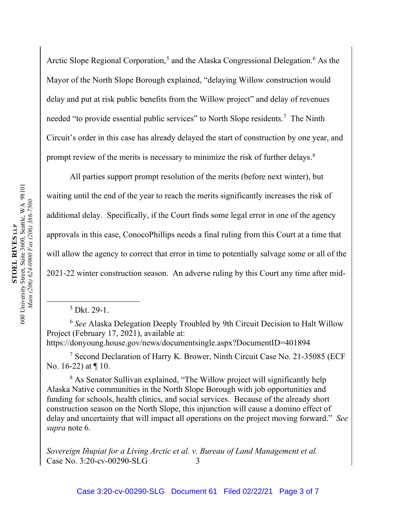Arctic Slope Regional Corporation,<sup>5</sup> and the Alaska Congressional Delegation.<sup>6</sup> As the Mayor of the North Slope Borough explained, "delaying Willow construction would delay and put at risk public benefits from the Willow project" and delay of revenues needed "to provide essential public services" to North Slope residents.<sup>7</sup> The Ninth Circuit's order in this case has already delayed the start of construction by one year, and prompt review of the merits is necessary to minimize the risk of further delays. $8$ 

All parties support prompt resolution of the merits (before next winter), but waiting until the end of the year to reach the merits significantly increases the risk of additional delay. Specifically, if the Court finds some legal error in one of the agency approvals in this case, ConocoPhillips needs a final ruling from this Court at a time that will allow the agency to correct that error in time to potentially salvage some or all of the 2021-22 winter construction season. An adverse ruling by this Court any time after mid-

<sup>6</sup> *See* Alaska Delegation Deeply Troubled by 9th Circuit Decision to Halt Willow Project (February 17, 2021), available at: https://donyoung.house.gov/news/documentsingle.aspx?DocumentID=401894

<sup>7</sup> Second Declaration of Harry K. Brower, Ninth Circuit Case No. 21-35085 (ECF No. 16-22) at ¶ 10.

<sup>8</sup> As Senator Sullivan explained, "The Willow project will significantly help Alaska Native communities in the North Slope Borough with job opportunities and funding for schools, health clinics, and social services. Because of the already short construction season on the North Slope, this injunction will cause a domino effect of delay and uncertainty that will impact all operations on the project moving forward." *See supra* note 6.

<sup>5</sup> Dkt. 29-1.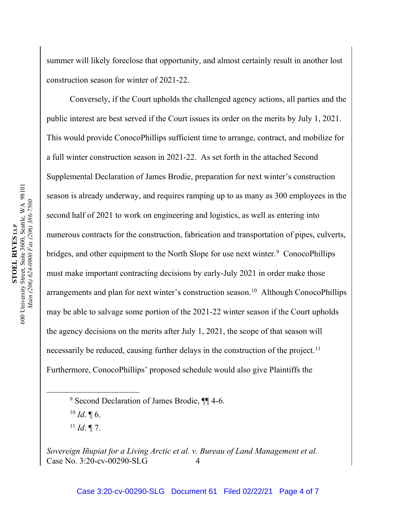summer will likely foreclose that opportunity, and almost certainly result in another lost construction season for winter of 2021-22.

Conversely, if the Court upholds the challenged agency actions, all parties and the public interest are best served if the Court issues its order on the merits by July 1, 2021. This would provide ConocoPhillips sufficient time to arrange, contract, and mobilize for a full winter construction season in 2021-22. As set forth in the attached Second Supplemental Declaration of James Brodie, preparation for next winter's construction season is already underway, and requires ramping up to as many as 300 employees in the second half of 2021 to work on engineering and logistics, as well as entering into numerous contracts for the construction, fabrication and transportation of pipes, culverts, bridges, and other equipment to the North Slope for use next winter.<sup>9</sup> ConocoPhillips must make important contracting decisions by early-July 2021 in order make those arrangements and plan for next winter's construction season.<sup>10</sup> Although ConocoPhillips may be able to salvage some portion of the 2021-22 winter season if the Court upholds the agency decisions on the merits after July 1, 2021, the scope of that season will necessarily be reduced, causing further delays in the construction of the project.<sup>11</sup> Furthermore, ConocoPhillips' proposed schedule would also give Plaintiffs the

 $^{10}$  *Id*. ¶ 6.

 $11$  *Id.* 17.

<sup>&</sup>lt;sup>9</sup> Second Declaration of James Brodie,  $\P$  4-6.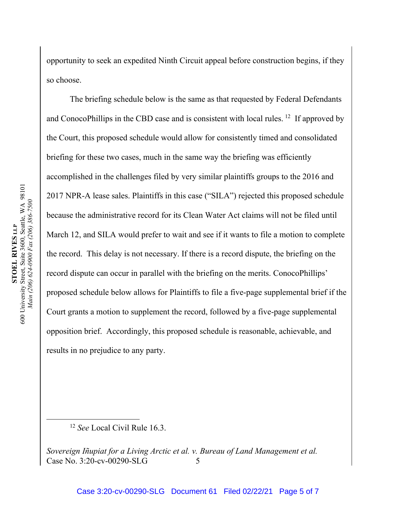opportunity to seek an expedited Ninth Circuit appeal before construction begins, if they so choose.

The briefing schedule below is the same as that requested by Federal Defendants and ConocoPhillips in the CBD case and is consistent with local rules. <sup>12</sup> If approved by the Court, this proposed schedule would allow for consistently timed and consolidated briefing for these two cases, much in the same way the briefing was efficiently accomplished in the challenges filed by very similar plaintiffs groups to the 2016 and 2017 NPR-A lease sales. Plaintiffs in this case ("SILA") rejected this proposed schedule because the administrative record for its Clean Water Act claims will not be filed until March 12, and SILA would prefer to wait and see if it wants to file a motion to complete the record. This delay is not necessary. If there is a record dispute, the briefing on the record dispute can occur in parallel with the briefing on the merits. ConocoPhillips' proposed schedule below allows for Plaintiffs to file a five-page supplemental brief if the Court grants a motion to supplement the record, followed by a five-page supplemental opposition brief. Accordingly, this proposed schedule is reasonable, achievable, and results in no prejudice to any party.

<sup>12</sup> *See* Local Civil Rule 16.3.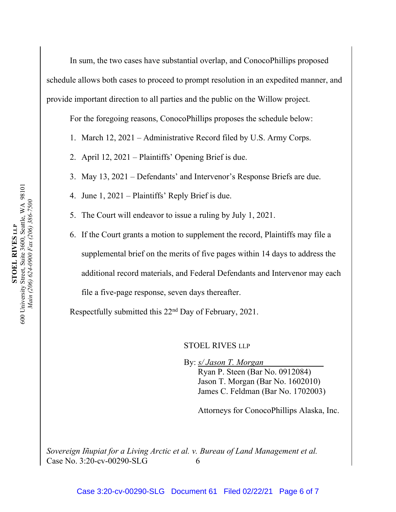In sum, the two cases have substantial overlap, and ConocoPhillips proposed schedule allows both cases to proceed to prompt resolution in an expedited manner, and provide important direction to all parties and the public on the Willow project.

For the foregoing reasons, ConocoPhillips proposes the schedule below:

1. March 12, 2021 – Administrative Record filed by U.S. Army Corps.

2. April 12, 2021 – Plaintiffs' Opening Brief is due.

- 3. May 13, 2021 Defendants' and Intervenor's Response Briefs are due.
- 4. June 1, 2021 Plaintiffs' Reply Brief is due.
- 5. The Court will endeavor to issue a ruling by July 1, 2021.
- 6. If the Court grants a motion to supplement the record, Plaintiffs may file a supplemental brief on the merits of five pages within 14 days to address the additional record materials, and Federal Defendants and Intervenor may each file a five-page response, seven days thereafter.

Respectfully submitted this 22nd Day of February, 2021.

## STOEL RIVES LLP

By: *s/ Jason T. Morgan*

Ryan P. Steen (Bar No. 0912084) Jason T. Morgan (Bar No. 1602010) James C. Feldman (Bar No. 1702003)

Attorneys for ConocoPhillips Alaska, Inc.